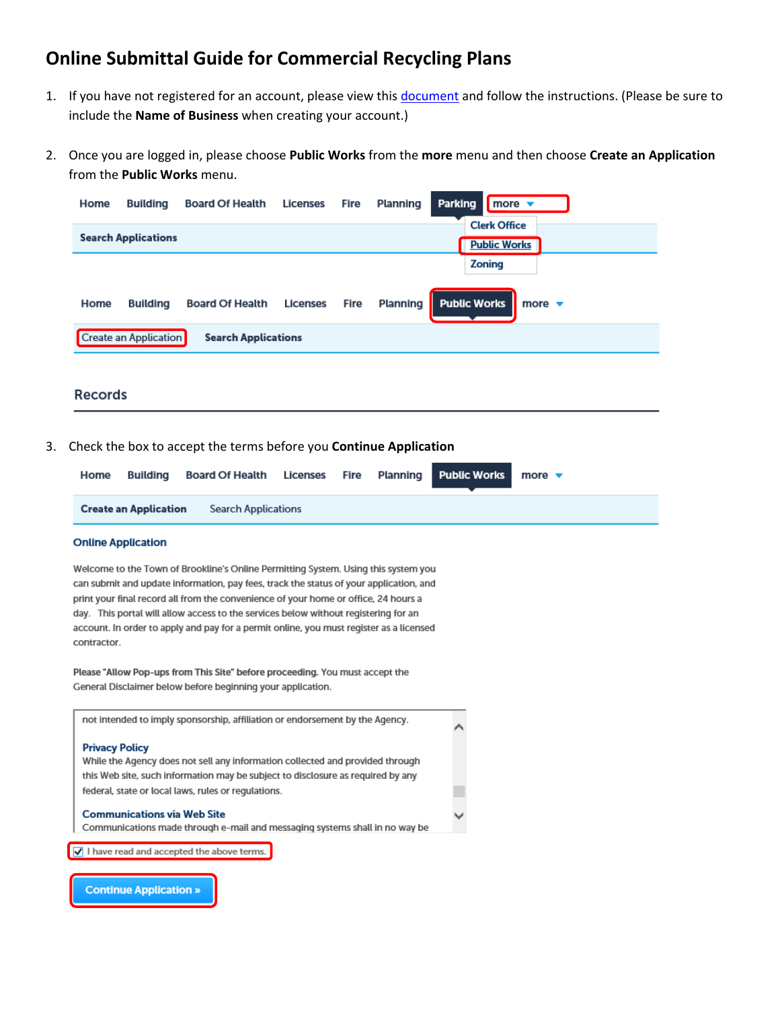# **Online Submittal Guide for Commercial Recycling Plans**

- 1. If you have not registered for an account, please view this document and follow the instructions. (Please be sure to include the **Name of Business** when creating your account.)
- 2. Once you are logged in, please choose **Public Works** from the **more** menu and then choose **Create an Application** from the **Public Works** menu.

| <b>Clerk Office</b><br><b>Search Applications</b><br><b>Public Works</b>                                                                                     |  |
|--------------------------------------------------------------------------------------------------------------------------------------------------------------|--|
| <b>Zoning</b>                                                                                                                                                |  |
| - II.<br><b>Public Works</b><br><b>Planning</b><br>Fire<br><b>Board Of Health</b><br><b>Licenses</b><br>more $\blacktriangledown$<br><b>Building</b><br>Home |  |
| Create an Application<br><b>Search Applications</b>                                                                                                          |  |

### **Records**

3. Check the box to accept the terms before you **Continue Application**

| Home | Building                     | Board Of Health Licenses Fire Planning Public Works |  |  | more $\blacktriangledown$ |
|------|------------------------------|-----------------------------------------------------|--|--|---------------------------|
|      | <b>Create an Application</b> | <b>Search Applications</b>                          |  |  |                           |
|      |                              |                                                     |  |  |                           |

#### **Online Application**

Welcome to the Town of Brookline's Online Permitting System. Using this system you can submit and update information, pay fees, track the status of your application, and print your final record all from the convenience of your home or office, 24 hours a day. This portal will allow access to the services below without registering for an account. In order to apply and pay for a permit online, you must register as a licensed contractor.

Please "Allow Pop-ups from This Site" before proceeding. You must accept the General Disclaimer below before beginning your application.



**Continue Application »**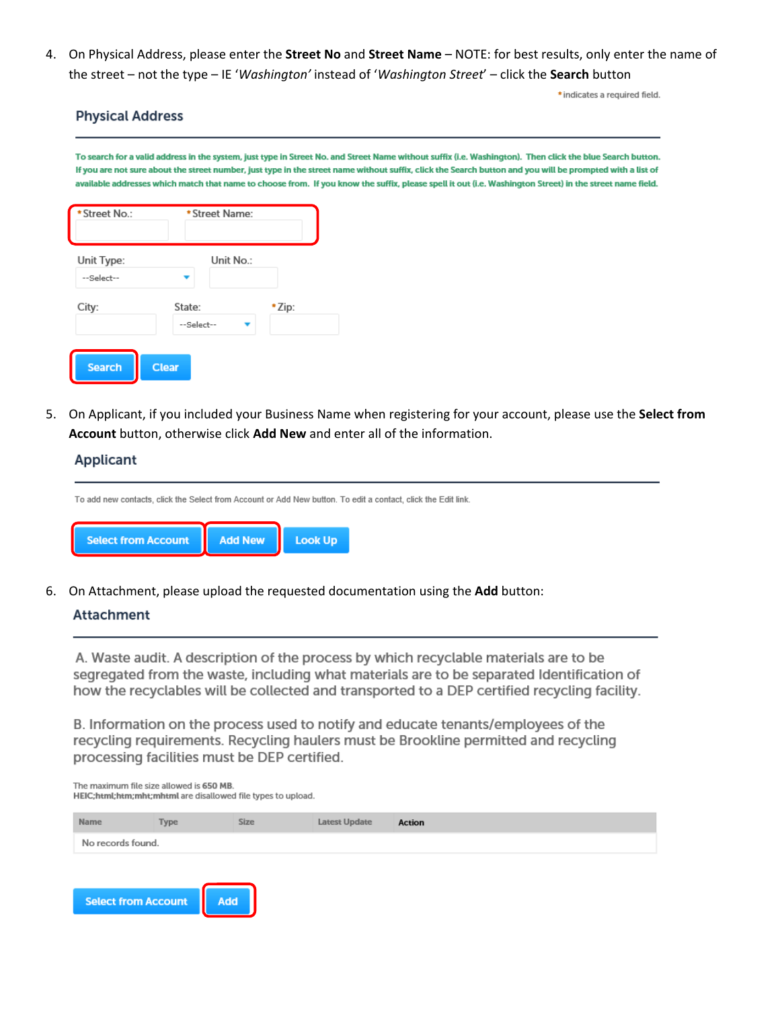4. On Physical Address, please enter the **Street No** and **Street Name** – NOTE: for best results, only enter the name of the street – not the type – IE '*Washington'* instead of '*Washington Street*' – click the **Search** button

\*indicates a required field.

## **Physical Address**

To search for a valid address in the system, just type in Street No. and Street Name without suffix (i.e. Washington). Then click the blue Search button. If you are not sure about the street number, just type in the street name without suffix, click the Search button and you will be prompted with a list of available addresses which match that name to choose from. If you know the suffix, please spell it out (i.e. Washington Street) in the street name field.

| * Street No.:            | * Street Name:       |       |
|--------------------------|----------------------|-------|
| Unit Type:<br>--Select-- | Unit No.:            |       |
| City:                    | State:<br>--Select-- | *Zip: |
| <b>Search</b>            | <b>Clear</b>         |       |

5. On Applicant, if you included your Business Name when registering for your account, please use the **Select from Account** button, otherwise click **Add New** and enter all of the information.

## **Applicant**

To add new contacts, click the Select from Account or Add New button. To edit a contact, click the Edit link. **Select from Account Add New Look Up** 

6. On Attachment, please upload the requested documentation using the **Add** button:

# **Attachment**

A. Waste audit. A description of the process by which recyclable materials are to be segregated from the waste, including what materials are to be separated Identification of how the recyclables will be collected and transported to a DEP certified recycling facility.

B. Information on the process used to notify and educate tenants/employees of the recycling requirements. Recycling haulers must be Brookline permitted and recycling processing facilities must be DEP certified.

The maximum file size allowed is 650 MB. HEIC;html;htm;mht;mhtml are disallowed file types to upload.

| Name                | Type | <b>Size</b> | Latest Update | Action |
|---------------------|------|-------------|---------------|--------|
| No records found.   |      |             |               |        |
|                     |      |             |               |        |
|                     |      |             |               |        |
| Select from Account |      |             |               |        |
|                     |      |             |               |        |